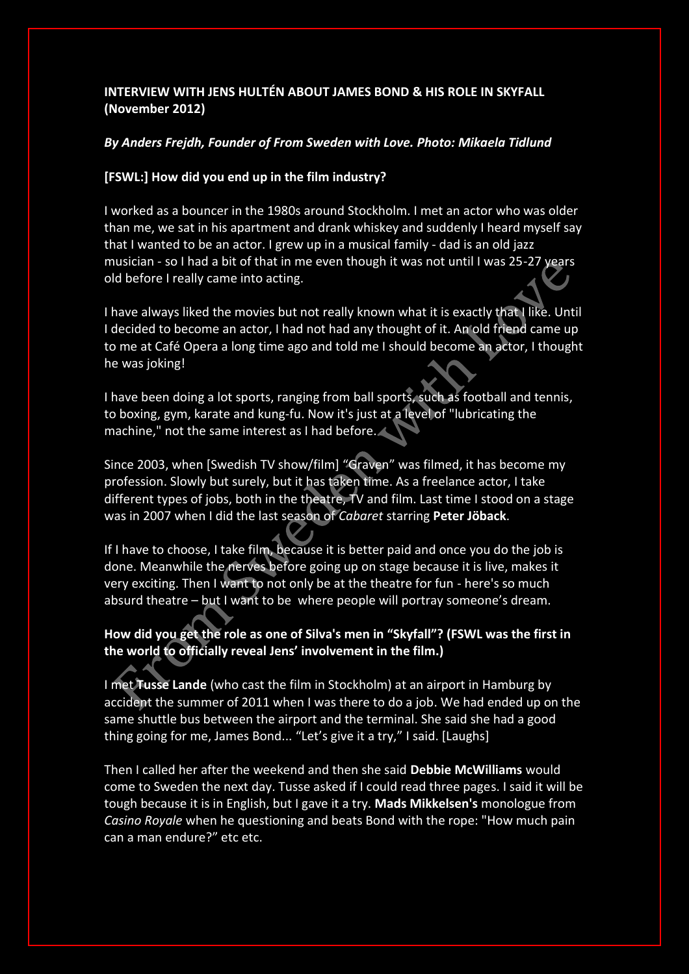# **INTERVIEW WITH JENS HULTÉN ABOUT JAMES BOND & HIS ROLE IN SKYFALL (November 2012)**

### *By Anders Frejdh, Founder of From Sweden with Love. Photo: Mikaela Tidlund*

# **[FSWL:] How did you end up in the film industry?**

I worked as a bouncer in the 1980s around Stockholm. I met an actor who was older than me, we sat in his apartment and drank whiskey and suddenly I heard myself say that I wanted to be an actor. I grew up in a musical family - dad is an old jazz musician - so I had a bit of that in me even though it was not until I was 25-27 years old before I really came into acting.

I have always liked the movies but not really known what it is exactly that I like. Until I decided to become an actor, I had not had any thought of it. An old friend came up to me at Café Opera a long time ago and told me I should become an actor, I thought he was joking!

I have been doing a lot sports, ranging from ball sports, such as football and tennis, to boxing, gym, karate and kung-fu. Now it's just at a level of "lubricating the machine," not the same interest as I had before.

Since 2003, when [Swedish TV show/film] "Graven" was filmed, it has become my profession. Slowly but surely, but it has taken time. As a freelance actor, I take different types of jobs, both in the theatre, TV and film. Last time I stood on a stage was in 2007 when I did the last season of *Cabaret* starring **Peter Jöback**.

If I have to choose, I take film, because it is better paid and once you do the job is done. Meanwhile the nerves before going up on stage because it is live, makes it very exciting. Then I want to not only be at the theatre for fun - here's so much absurd theatre – but I want to be where people will portray someone's dream.

# **How did you get the role as one of Silva's men in "Skyfall"? (FSWL was the first in the world to officially reveal Jens' involvement in the film.)**

I met **Tusse Lande** (who cast the film in Stockholm) at an airport in Hamburg by accident the summer of 2011 when I was there to do a job. We had ended up on the same shuttle bus between the airport and the terminal. She said she had a good thing going for me, James Bond... "Let's give it a try," I said. [Laughs]

Then I called her after the weekend and then she said **Debbie McWilliams** would come to Sweden the next day. Tusse asked if I could read three pages. I said it will be tough because it is in English, but I gave it a try. **Mads Mikkelsen's** monologue from *Casino Royale* when he questioning and beats Bond with the rope: "How much pain can a man endure?" etc etc.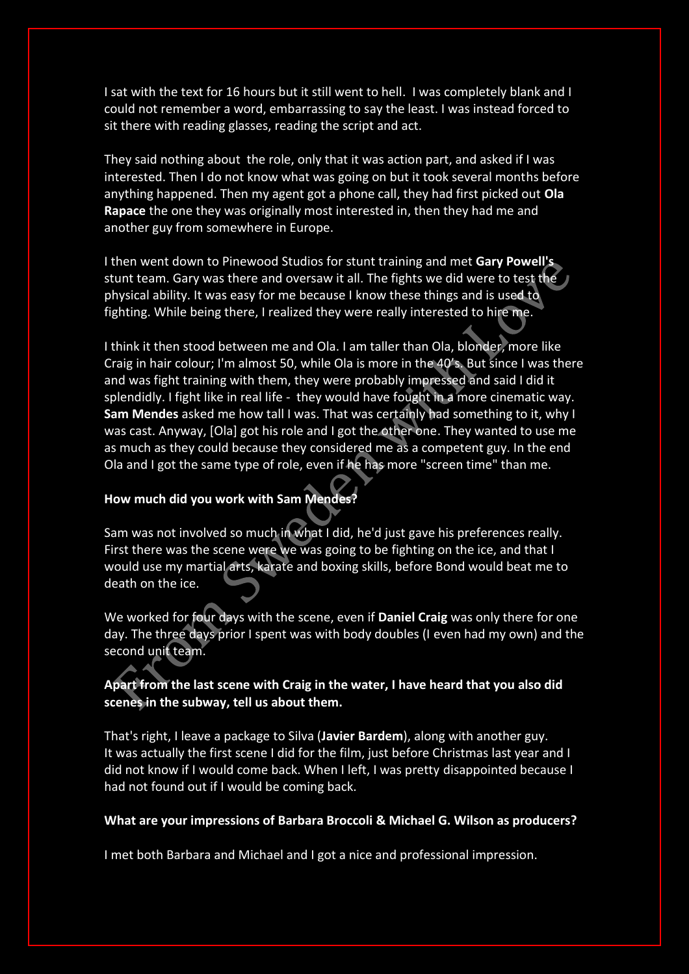I sat with the text for 16 hours but it still went to hell. I was completely blank and I could not remember a word, embarrassing to say the least. I was instead forced to sit there with reading glasses, reading the script and act.

They said nothing about the role, only that it was action part, and asked if I was interested. Then I do not know what was going on but it took several months before anything happened. Then my agent got a phone call, they had first picked out **Ola Rapace** the one they was originally most interested in, then they had me and another guy from somewhere in Europe.

I then went down to Pinewood Studios for stunt training and met **Gary Powell's** stunt team. Gary was there and oversaw it all. The fights we did were to test the physical ability. It was easy for me because I know these things and is used to fighting. While being there, I realized they were really interested to hire me.

I think it then stood between me and Ola. I am taller than Ola, blonder, more like Craig in hair colour; I'm almost 50, while Ola is more in the 40's. But since I was there and was fight training with them, they were probably impressed and said I did it splendidly. I fight like in real life - they would have fought in a more cinematic way. **Sam Mendes** asked me how tall I was. That was certainly had something to it, why I was cast. Anyway, [Ola] got his role and I got the other one. They wanted to use me as much as they could because they considered me as a competent guy. In the end Ola and I got the same type of role, even if he has more "screen time" than me.

### **How much did you work with Sam Mendes?**

Sam was not involved so much in what I did, he'd just gave his preferences really. First there was the scene were we was going to be fighting on the ice, and that I would use my martial arts, karate and boxing skills, before Bond would beat me to death on the ice.

We worked for four days with the scene, even if **Daniel Craig** was only there for one day. The three days prior I spent was with body doubles (I even had my own) and the second unit team.

### **Apart from the last scene with Craig in the water, I have heard that you also did scenes in the subway, tell us about them.**

That's right, I leave a package to Silva (**Javier Bardem**), along with another guy. It was actually the first scene I did for the film, just before Christmas last year and I did not know if I would come back. When I left, I was pretty disappointed because I had not found out if I would be coming back.

#### **What are your impressions of Barbara Broccoli & Michael G. Wilson as producers?**

I met both Barbara and Michael and I got a nice and professional impression.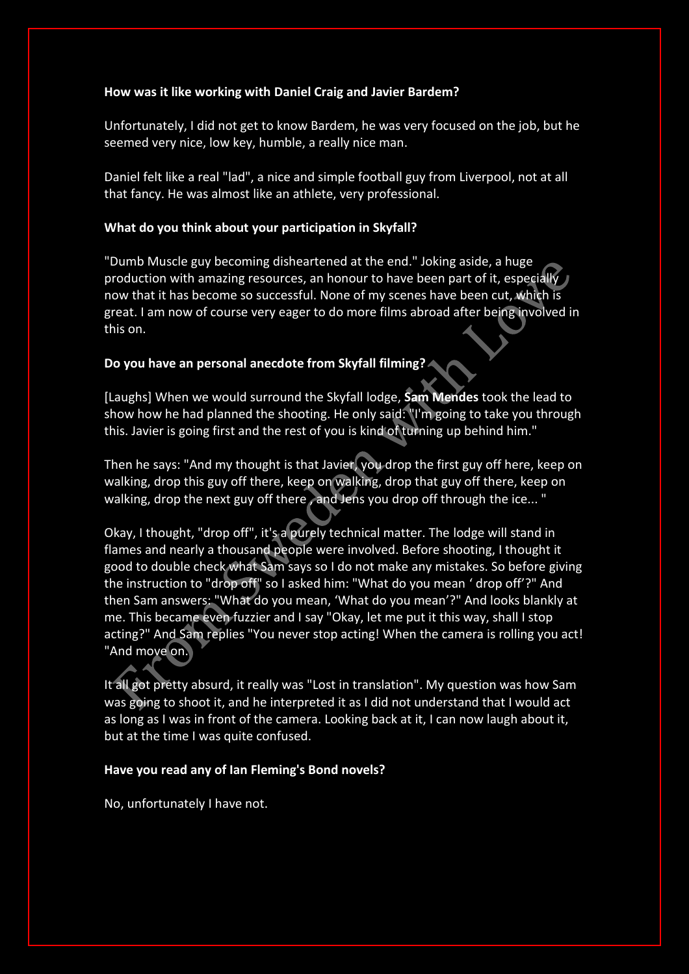### **How was it like working with Daniel Craig and Javier Bardem?**

Unfortunately, I did not get to know Bardem, he was very focused on the job, but he seemed very nice, low key, humble, a really nice man.

Daniel felt like a real "lad", a nice and simple football guy from Liverpool, not at all that fancy. He was almost like an athlete, very professional.

# **What do you think about your participation in Skyfall?**

"Dumb Muscle guy becoming disheartened at the end." Joking aside, a huge production with amazing resources, an honour to have been part of it, especially now that it has become so successful. None of my scenes have been cut, which is great. I am now of course very eager to do more films abroad after being involved in this on.

# **Do you have an personal anecdote from Skyfall filming?**

[Laughs] When we would surround the Skyfall lodge, **Sam Mendes** took the lead to show how he had planned the shooting. He only said: "I'm going to take you through this. Javier is going first and the rest of you is kind of turning up behind him."

Then he says: "And my thought is that Javier, you drop the first guy off here, keep on walking, drop this guy off there, keep on walking, drop that guy off there, keep on walking, drop the next guy off there, and Jens you drop off through the ice... "

Okay, I thought, "drop off", it's a purely technical matter. The lodge will stand in flames and nearly a thousand people were involved. Before shooting, I thought it good to double check what Sam says so I do not make any mistakes. So before giving the instruction to "drop off" so I asked him: "What do you mean ' drop off'?" And then Sam answers: "What do you mean, 'What do you mean'?" And looks blankly at me. This became even fuzzier and I say "Okay, let me put it this way, shall I stop acting?" And Sam replies "You never stop acting! When the camera is rolling you act! "And move on.

It all got pretty absurd, it really was "Lost in translation". My question was how Sam was going to shoot it, and he interpreted it as I did not understand that I would act as long as I was in front of the camera. Looking back at it, I can now laugh about it, but at the time I was quite confused.

# **Have you read any of Ian Fleming's Bond novels?**

No, unfortunately I have not.